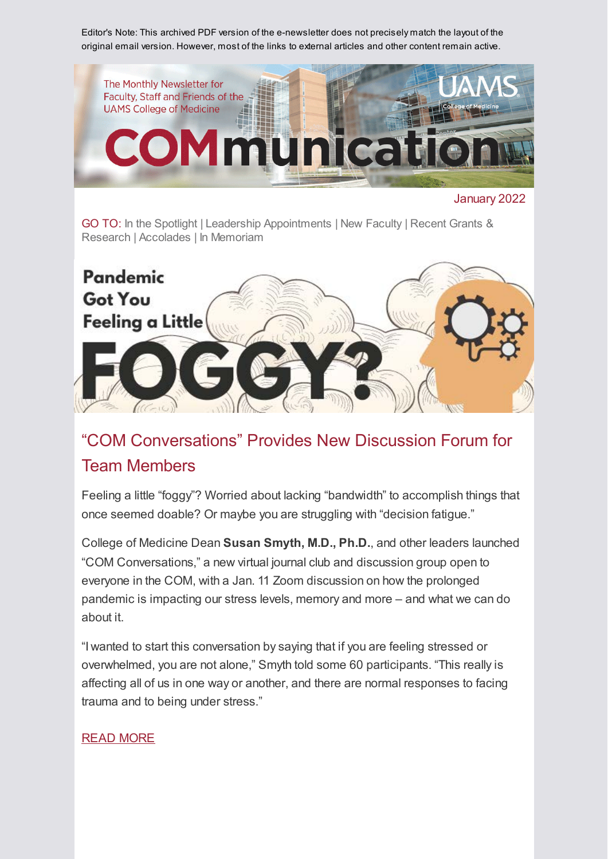Editor's Note: This archived PDF version of the e-newsletter does not precisely match the layout of the original email version. However, most of the links to external articles and other content remain active.



January 2022

GO TO: [In the Spotlight | Leadership Appointments | New Faculty | Recent Grants &](#page-4-0) Research | [Accolades](#page-5-0) | [In Memoriam](#page-6-0)



## "COM Conversations" Provides New Discussion Forum for Team Members

Feeling a little "foggy"? Worried about lacking "bandwidth" to accomplish things that once seemed doable? Or maybe you are struggling with "decision fatigue."

College of Medicine Dean **Susan Smyth, M.D., Ph.D.**, and other leaders launched "COM Conversations," a new virtual journal club and discussion group open to everyone in the COM, with a Jan. 11 Zoom discussion on how the prolonged pandemic is impacting our stress levels, memory and more – and what we can do about it.

"I wanted to start this conversation by saying that if you are feeling stressed or overwhelmed, you are not alone," Smyth told some 60 participants. "This really is affecting all of us in one way or another, and there are normal responses to facing trauma and to being under stress."

### [READ MORE](https://medicine.uams.edu/blog/pandemic-got-you-feeling-a-little-foggy-com-conversations-provides-new-discussion-forum-for-uams-college-of-medicine-team-members/)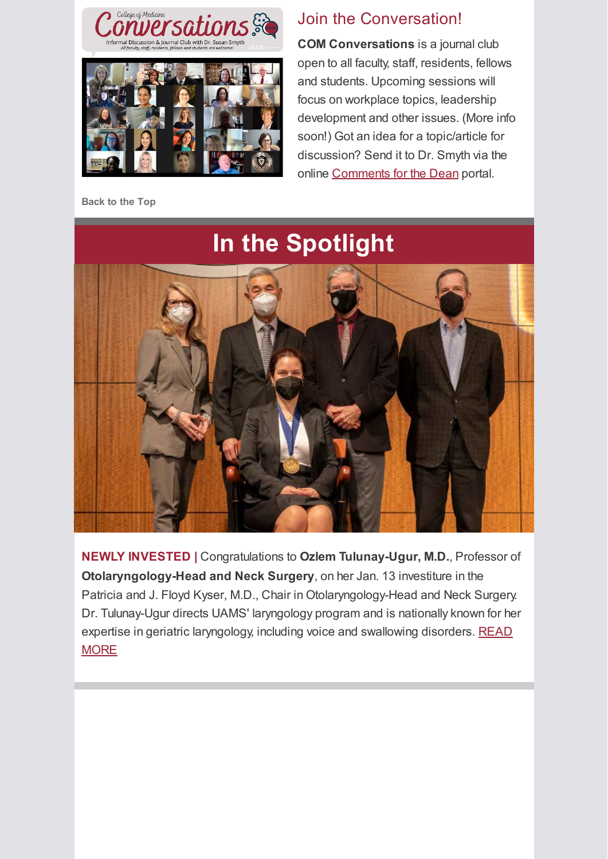

### Join the Conversation!

**COM Conversations** is a journal club open to all faculty, staff, residents, fellows and students. Upcoming sessions will focus on workplace topics, leadership development and other issues. (More info soon!) Got an idea for a topic/article for discussion? Send it to Dr. Smyth via the online [Comments for the Dean](https://medicine.uams.edu/comments/) portal.

<span id="page-1-0"></span>**Back to the Top**



**NEWLY INVESTED |** Congratulations to **Ozlem Tulunay-Ugur, M.D.**, Professor of **Otolaryngology-Head and Neck Surgery**, on her Jan. 13 investiture in the Patricia and J. Floyd Kyser, M.D., Chair in Otolaryngology-Head and Neck Surgery. Dr. Tulunay-Ugur directs UAMS' laryngology program and is nationally known for her [expertise in geriatric laryngology, including voice and swallowing disorders. READ](https://news.uams.edu/2022/01/20/uams-invests-ozlem-tulunay-ugur-m-d-in-patricia-and-j-floyd-kyser-m-d-chair-in-otolaryngology-head-and-neck-surgery/) **MORE**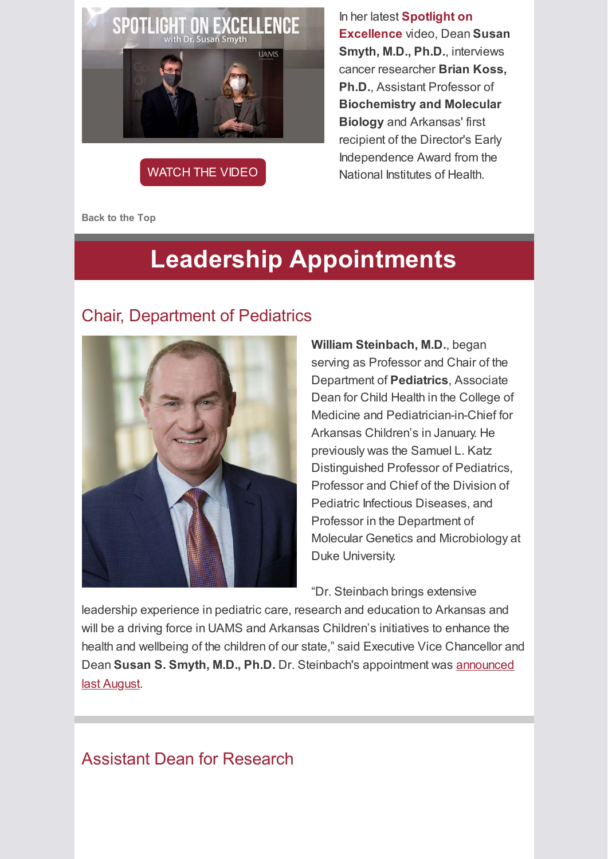



In her latest **Spotlight on Excellence** video, Dean **Susan Smyth, M.D., Ph.D.**, interviews cancer researcher **Brian Koss, Ph.D.**, Assistant Professor of **Biochemistry and Molecular Biology** and Arkansas' first recipient of the Director's Early Independence Award from the National Institutes of Health.

<span id="page-2-0"></span>**Back to the Top**

# **Leadership Appointments**

### Chair, Department of Pediatrics



**William Steinbach, M.D.**, began serving as Professor and Chair of the Department of **Pediatrics**, Associate Dean for Child Health in the College of Medicine and Pediatrician-in-Chief for Arkansas Children's in January. He previously was the Samuel L. Katz Distinguished Professor of Pediatrics, Professor and Chief of the Division of Pediatric Infectious Diseases, and Professor in the Department of Molecular Genetics and Microbiology at Duke University.

"Dr. Steinbach brings extensive

leadership experience in pediatric care, research and education to Arkansas and will be a driving force in UAMS and Arkansas Children's initiatives to enhance the health and wellbeing of the children of our state," said Executive Vice Chancellor and Dean **Susan S. Smyth, M.D., Ph.D.** [Dr. Steinbach's appointment was announced](https://news.uams.edu/2021/08/26/william-j-steinbach-m-d-joins-uams-as-chair-of-department-of-pediatrics/) last August.

### Assistant Dean for Research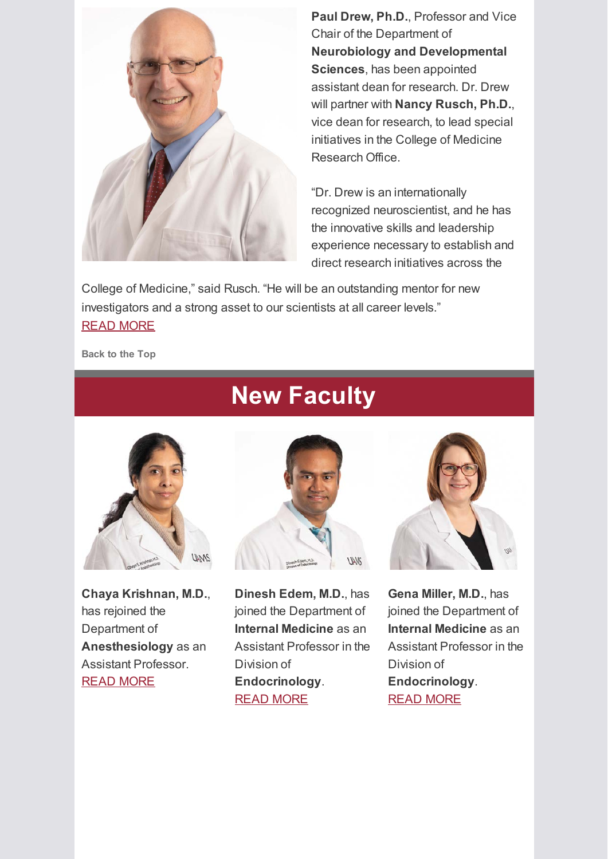

**Paul Drew, Ph.D.**, Professor and Vice Chair of the Department of **Neurobiology and Developmental Sciences**, has been appointed assistant dean for research. Dr. Drew will partner with **Nancy Rusch, Ph.D.**, vice dean for research, to lead special initiatives in the College of Medicine Research Office.

"Dr. Drew is an internationally recognized neuroscientist, and he has the innovative skills and leadership experience necessary to establish and direct research initiatives across the

College of Medicine," said Rusch. "He will be an outstanding mentor for new investigators and a strong asset to our scientists at all career levels." [READ MORE](https://medicine.uams.edu/blog/paul-drew-ph-d-appointed-assistant-dean-for-research-in-uams-college-of-medicine/)

<span id="page-3-0"></span>**Back to the Top**



**Chaya Krishnan, M.D.**, has rejoined the Department of **Anesthesiology** as an Assistant Professor. [READ MORE](https://medicine.uams.edu/blog/recent-faculty-appointments-january-2022/#krishnan)

## **New Faculty**



**Dinesh Edem, M.D.**, has joined the Department of **Internal Medicine** as an Assistant Professor in the Division of **Endocrinology**. [READ MORE](https://medicine.uams.edu/blog/recent-faculty-appointments-january-2022/#edem)



**Gena Miller, M.D.**, has joined the Department of **Internal Medicine** as an Assistant Professor in the Division of **Endocrinology**. [READ MORE](https://medicine.uams.edu/blog/recent-faculty-appointments-january-2022/#miller)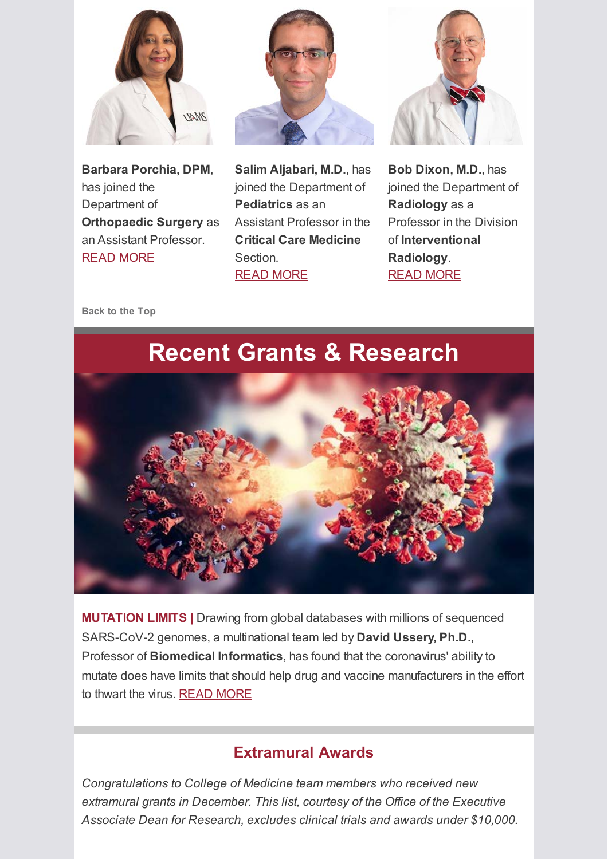

**Barbara Porchia, DPM**, has joined the Department of **Orthopaedic Surgery** as an Assistant Professor. [READ MORE](https://medicine.uams.edu/blog/recent-faculty-appointments-january-2022/#porchia)



**Salim Aljabari, M.D.**, has joined the Department of **Pediatrics** as an Assistant Professor in the **Critical Care Medicine Section** [READ MORE](https://medicine.uams.edu/blog/recent-faculty-appointments-january-2022/#aljabari)



**Bob Dixon, M.D.**, has joined the Department of **Radiology** as a Professor in the Division of **Interventional Radiology**. [READ MORE](https://medicine.uams.edu/blog/recent-faculty-appointments-january-2022/#dixon)

<span id="page-4-0"></span>**Back to the Top**

# **Recent Grants & Research**



**MUTATION LIMITS |** Drawing from global databases with millions of sequenced SARS-CoV-2 genomes, a multinational team led by **David Ussery, Ph.D.**, Professor of **Biomedical Informatics**, has found that the coronavirus' ability to mutate does have limits that should help drug and vaccine manufacturers in the effort to thwart the virus. [READ MORE](https://news.uams.edu/2022/01/25/uams-research-team-finds-covid-19-has-mutation-limits/)

### **Extramural Awards**

*Congratulations to College of Medicine team members who received new extramural grants in December. This list, courtesy of the Office of the Executive Associate Dean for Research, excludes clinical trials and awards under \$10,000.*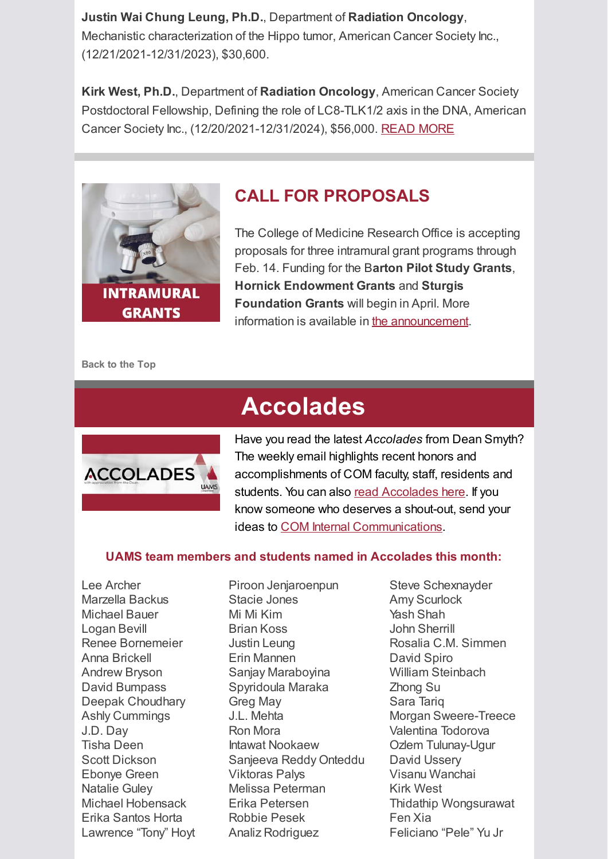### **Justin Wai Chung Leung, Ph.D.**, Department of **Radiation Oncology**,

Mechanistic characterization of the Hippo tumor, American Cancer Society Inc., (12/21/2021-12/31/2023), \$30,600.

**Kirk West, Ph.D.**, Department of **Radiation Oncology**, American Cancer Society Postdoctoral Fellowship, Defining the role of LC8-TLK1/2 axis in the DNA, American Cancer Society Inc., (12/20/2021-12/31/2024), \$56,000. [READ MORE](https://news.uams.edu/2022/01/06/kirk-west-ph-d-receives-american-cancer-society-postdoctoral-fellowship/)



## **CALL FOR PROPOSALS**

The College of Medicine Research Office is accepting proposals for three intramural grant programs through Feb. 14. Funding for the B**arton Pilot Study Grants**, **Hornick Endowment Grants** and **Sturgis Foundation Grants** will begin in April. More information is available in [the announcement.](https://medicine.uams.edu/wp-content/uploads/2022/01/COM-Intramural-Award-Opportunities.pdf)

<span id="page-5-0"></span>**Back to the Top**





Have you read the latest *Accolades* from Dean Smyth? The weekly email highlights recent honors and accomplishments of COM faculty, staff, residents and students. You can also [read Accolades here.](https://medicine.uams.edu/about-the-college/features/accolades/) If you know someone who deserves a shout-out, send your ideas to [COM Internal Communications.](mailto:cominternalcommunications@uams.edu)

#### **UAMS team members and students named in Accolades this month:**

Lee Archer Marzella Backus Michael Bauer Logan Bevill Renee Bornemeier Anna Brickell Andrew Bryson David Bumpass Deepak Choudhary Ashly Cummings J.D. Day Tisha Deen Scott Dickson Ebonye Green Natalie Guley Michael Hobensack Erika Santos Horta Lawrence "Tony" Hoyt

Piroon Jenjaroenpun Stacie Jones Mi Mi Kim Brian Koss Justin Leung Erin Mannen Sanjay Maraboyina Spyridoula Maraka Greg May J.L. Mehta Ron Mora Intawat Nookaew Sanjeeva Reddy Onteddu Viktoras Palys Melissa Peterman Erika Petersen Robbie Pesek Analiz Rodriguez

Steve Schexnayder Amy Scurlock Yash Shah John Sherrill Rosalia C.M. Simmen David Spiro William Steinbach Zhong Su Sara Tariq Morgan Sweere-Treece Valentina Todorova Ozlem Tulunay-Ugur David Ussery Visanu Wanchai Kirk West Thidathip Wongsurawat Fen Xia Feliciano "Pele" Yu Jr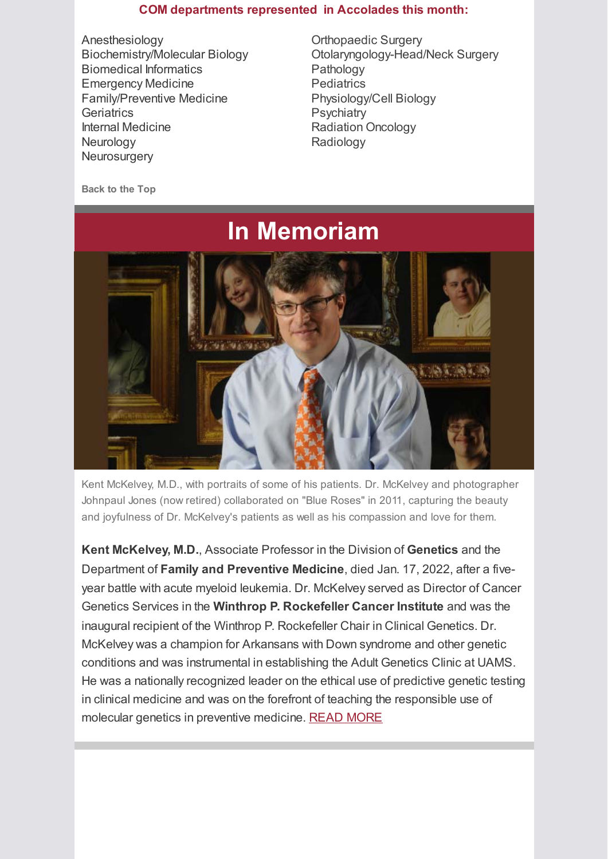#### **COM departments represented in Accolades this month:**

Anesthesiology Biochemistry/Molecular Biology Biomedical Informatics Emergency Medicine Family/Preventive Medicine **Geriatrics** Internal Medicine **Neurology Neurosurgery** 

Orthopaedic Surgery Otolaryngology-Head/Neck Surgery Pathology **Pediatrics** Physiology/Cell Biology **Psychiatry** Radiation Oncology **Radiology** 

**Back to the Top**

<span id="page-6-0"></span>

Kent McKelvey, M.D., with portraits of some of his patients. Dr. McKelvey and photographer Johnpaul Jones (now retired) collaborated on "Blue Roses" in 2011, capturing the beauty and joyfulness of Dr. McKelvey's patients as well as his compassion and love for them.

**Kent McKelvey, M.D.**, Associate Professor in the Division of **Genetics** and the Department of **Family and Preventive Medicine**, died Jan. 17, 2022, after a fiveyear battle with acute myeloid leukemia. Dr. McKelvey served as Director of Cancer Genetics Services in the **Winthrop P. Rockefeller Cancer Institute** and was the inaugural recipient of the Winthrop P. Rockefeller Chair in Clinical Genetics. Dr. McKelvey was a champion for Arkansans with Down syndrome and other genetic conditions and was instrumental in establishing the Adult Genetics Clinic at UAMS. He was a nationally recognized leader on the ethical use of predictive genetic testing in clinical medicine and was on the forefront of teaching the responsible use of molecular genetics in preventive medicine. [READ MORE](https://medicine.uams.edu/wp-content/uploads/2022/01/In-memoriam-Kent-Mckelvey.pdf)

## **In Memoriam**